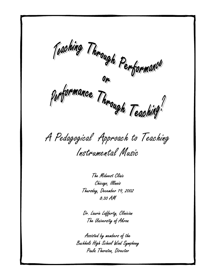$\epsilon$ 

**P** 

A Pedagogical Approach to Teaching Instrumental Music

The Midwest Clinic Chicago, Illinois Thursday, December 19, 2002 8:30 AM

Dr. Laurie Lafferty, Clinician The University of Akron

Assisted by members of the Buchholz High School Wind Symphony Paula Thornton, Director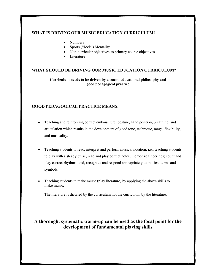#### **WHAT IS DRIVING OUR MUSIC EDUCATION CURRICULUM?**

- Numbers
- Sports ("Jock") Mentality
- Non-curricular objectives as primary course objectives
- **Literature**

#### **WHAT SHOULD BE DRIVING OUR MUSIC EDUCATION CURRICULUM?**

**Curriculum needs to be driven by a sound educational philosophy and good pedagogical practice** 

#### **GOOD PEDAGOGICAL PRACTICE MEANS:**

- Teaching and reinforcing correct embouchure, posture, hand position, breathing, and articulation which results in the development of good tone, technique, range, flexibility, and musicality.
- Teaching students to read, interpret and perform musical notation, i.e., teaching students to play with a steady pulse; read and play correct notes; memorize fingerings; count and play correct rhythms; and, recognize and respond appropriately to musical terms and symbols.
- Teaching students to make music (play literature) by applying the above skills to make music.

The literature is dictated by the curriculum not the curriculum by the literature.

# **A thorough, systematic warm-up can be used as the focal point for the development of fundamental playing skills**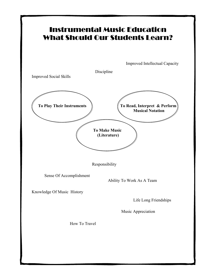# Instrumental Music Education What Should Our Students Learn?

Improved Intellectual Capacity

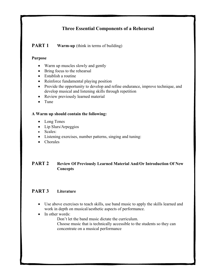# **Three Essential Components of a Rehearsal**

## **PART 1** Warm-up (think in terms of building)

#### **Purpose**

- Warm up muscles slowly and gently
- Bring focus to the rehearsal
- Establish a routine
- Reinforce fundamental playing position
- Provide the opportunity to develop and refine endurance, improve technique, and develop musical and listening skills through repetition
- Review previously learned material
- Tune

#### **A Warm up should contain the following:**

- Long Tones
- Lip Slurs/Arpeggios
- Scales:
- Listening exercises, number patterns, singing and tuning:
- Chorales

### **PART 2 Review Of Previously Learned Material And/Or Introduction Of New Concepts**

# **PART 3 Literature**

- Use above exercises to teach skills, use band music to apply the skills learned and work in depth on musical/aesthetic aspects of performance.
- In other words:

Don't let the band music dictate the curriculum.

Choose music that is technically accessible to the students so they can concentrate on a musical performance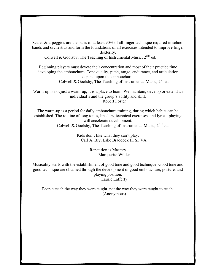Scales & arpeggios are the basis of at least 90% of all finger technique required in school bands and orchestras and form the foundations of all exercises intended to improve finger

dexterity.

Colwell & Goolsby, The Teaching of Instrumental Music,  $2^{ND}$  ed.

Beginning players must devote their concentration and most of their practice time developing the embouchure. Tone quality, pitch, range, endurance, and articulation depend upon the embouchure.

Colwell & Goolsby, The Teaching of Instrumental Music,  $2^{nd}$  ed.

Warm-up is not just a warm-up; it is a place to learn. We maintain, develop or extend an individual's and the group's ability and skill. Robert Foster

The warm-up is a period for daily embouchure training, during which habits can be established. The routine of long tones, lip slurs, technical exercises, and lyrical playing will accelerate development. Colwell & Goolsby, The Teaching of Instrumental Music,  $2^{ND}$  ed.

> Kids don't like what they can't play. Carl A. Bly, Lake Braddock H. S., VA.

> > Repetition is Mastery Marquerite Wilder

Musicality starts with the establishment of good tone and good technique. Good tone and good technique are obtained through the development of good embouchure, posture, and playing position. Laurie Lafferty

People teach the way they were taught, not the way they were taught to teach. (Anonymous)